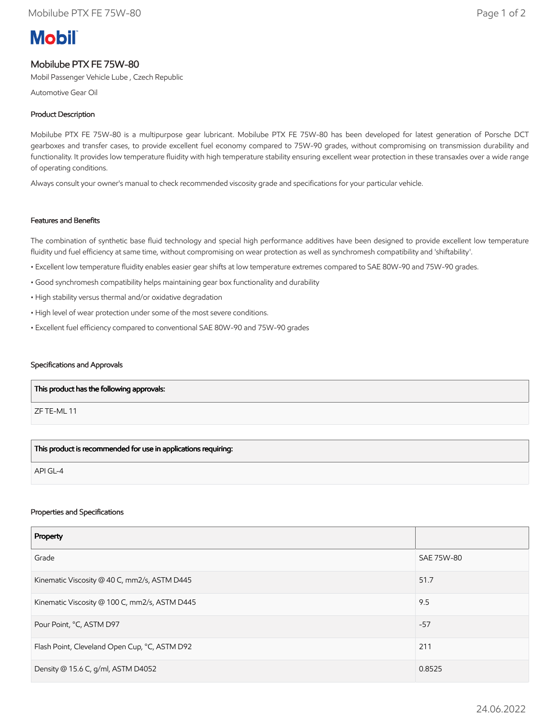# **Mobil**

# Mobilube PTX FE 75W-80

Mobil Passenger Vehicle Lube , Czech Republic

Automotive Gear Oil

# Product Description

Mobilube PTX FE 75W-80 is a multipurpose gear lubricant. Mobilube PTX FE 75W-80 has been developed for latest generation of Porsche DCT gearboxes and transfer cases, to provide excellent fuel economy compared to 75W-90 grades, without compromising on transmission durability and functionality. It provides low temperature fluidity with high temperature stability ensuring excellent wear protection in these transaxles over a wide range of operating conditions.

Always consult your owner's manual to check recommended viscosity grade and specifications for your particular vehicle.

# Features and Benefits

The combination of synthetic base fluid technology and special high performance additives have been designed to provide excellent low temperature fluidity und fuel efficiency at same time, without compromising on wear protection as well as synchromesh compatibility and 'shiftability'.

- Excellent low temperature fluidity enables easier gear shifts at low temperature extremes compared to SAE 80W-90 and 75W-90 grades.
- Good synchromesh compatibility helps maintaining gear box functionality and durability
- High stability versus thermal and/or oxidative degradation
- High level of wear protection under some of the most severe conditions.
- Excellent fuel efficiency compared to conventional SAE 80W-90 and 75W-90 grades

#### Specifications and Approvals

| $\mid$ This product has the following approvals: $\mid$ |  |
|---------------------------------------------------------|--|
| ZF TE-ML 11                                             |  |
|                                                         |  |

# This product is recommended for use in applications requiring:

API GL-4

#### Properties and Specifications

| Property                                      |            |
|-----------------------------------------------|------------|
| Grade                                         | SAE 75W-80 |
| Kinematic Viscosity @ 40 C, mm2/s, ASTM D445  | 51.7       |
| Kinematic Viscosity @ 100 C, mm2/s, ASTM D445 | 9.5        |
| Pour Point, °C, ASTM D97                      | $-57$      |
| Flash Point, Cleveland Open Cup, °C, ASTM D92 | 211        |
| Density @ 15.6 C, g/ml, ASTM D4052            | 0.8525     |